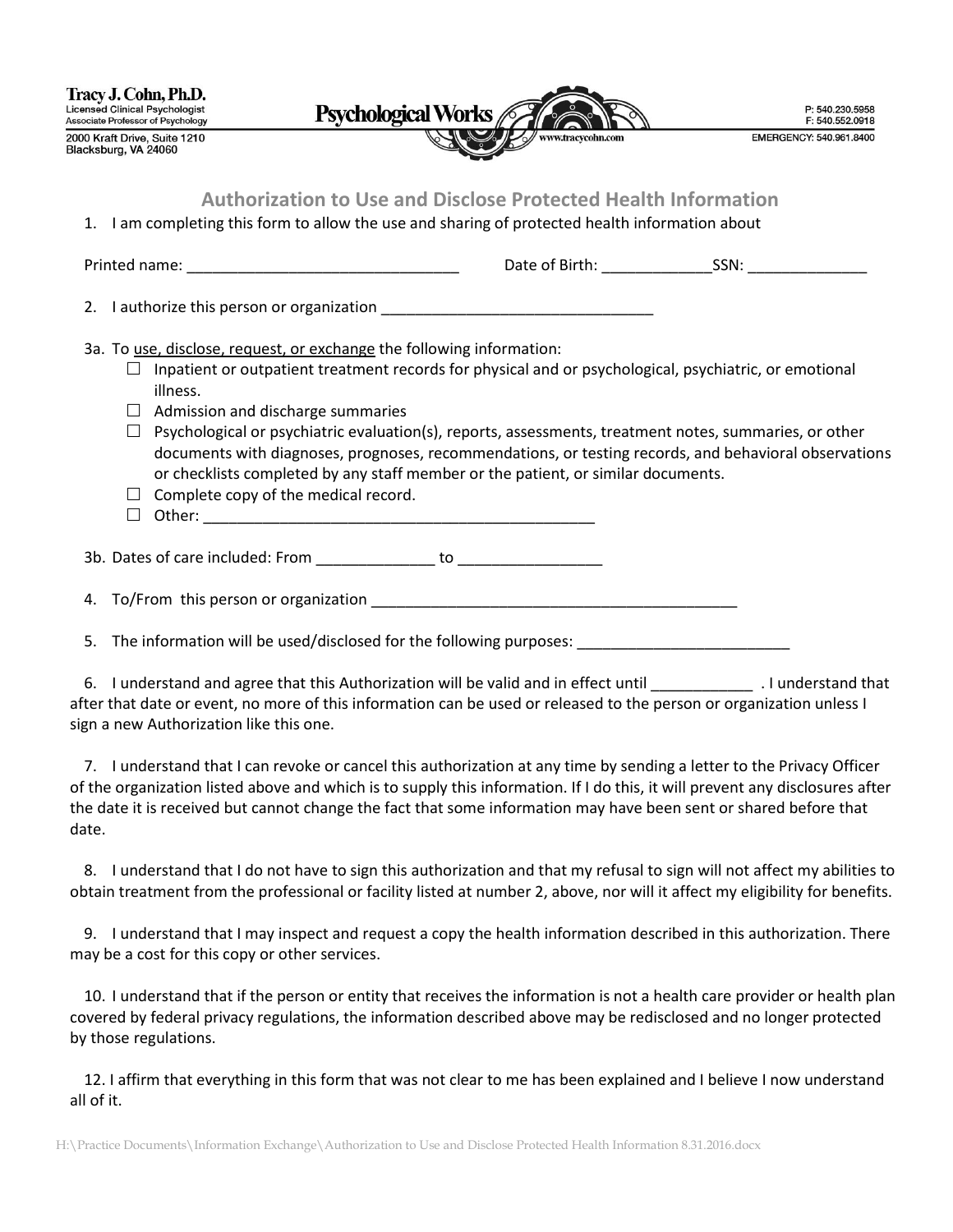Associate Professor of Psychology 2000 Kraft Drive, Suite 1210 Blacksburg, VA 24060



**Authorization to Use and Disclose Protected Health Information**

1. I am completing this form to allow the use and sharing of protected health information about

Printed name: \_\_\_\_\_\_\_\_\_\_\_\_\_\_\_\_\_\_\_\_\_\_\_\_\_\_\_\_\_\_\_\_ Date of Birth: \_\_\_\_\_\_\_\_\_\_\_\_\_SSN: \_\_\_\_\_\_\_\_\_\_\_\_\_\_ 2. I authorize this person or organization \_\_\_\_\_\_\_\_\_\_\_\_\_\_\_\_\_\_\_\_\_\_\_\_\_\_\_\_\_\_\_\_

3a. To use, disclose, request, or exchange the following information:

- $\Box$  Inpatient or outpatient treatment records for physical and or psychological, psychiatric, or emotional illness.
- $\Box$  Admission and discharge summaries
- $\Box$  Psychological or psychiatric evaluation(s), reports, assessments, treatment notes, summaries, or other documents with diagnoses, prognoses, recommendations, or testing records, and behavioral observations or checklists completed by any staff member or the patient, or similar documents.
- $\Box$  Complete copy of the medical record.
- Other: \_\_\_\_\_\_\_\_\_\_\_\_\_\_\_\_\_\_\_\_\_\_\_\_\_\_\_\_\_\_\_\_\_\_\_\_\_\_\_\_\_\_\_\_\_\_

3b. Dates of care included: From \_\_\_\_\_\_\_\_\_\_\_\_\_\_ to \_\_\_\_\_\_\_\_\_\_\_\_\_\_\_\_\_

4. To/From this person or organization

5. The information will be used/disclosed for the following purposes:

6. I understand and agree that this Authorization will be valid and in effect until \_\_\_\_\_\_\_\_\_\_\_\_ . I understand that after that date or event, no more of this information can be used or released to the person or organization unless I sign a new Authorization like this one.

7. I understand that I can revoke or cancel this authorization at any time by sending a letter to the Privacy Officer of the organization listed above and which is to supply this information. If I do this, it will prevent any disclosures after the date it is received but cannot change the fact that some information may have been sent or shared before that date.

8. I understand that I do not have to sign this authorization and that my refusal to sign will not affect my abilities to obtain treatment from the professional or facility listed at number 2, above, nor will it affect my eligibility for benefits.

9. I understand that I may inspect and request a copy the health information described in this authorization. There may be a cost for this copy or other services.

10. I understand that if the person or entity that receives the information is not a health care provider or health plan covered by federal privacy regulations, the information described above may be redisclosed and no longer protected by those regulations.

12. I affirm that everything in this form that was not clear to me has been explained and I believe I now understand all of it.